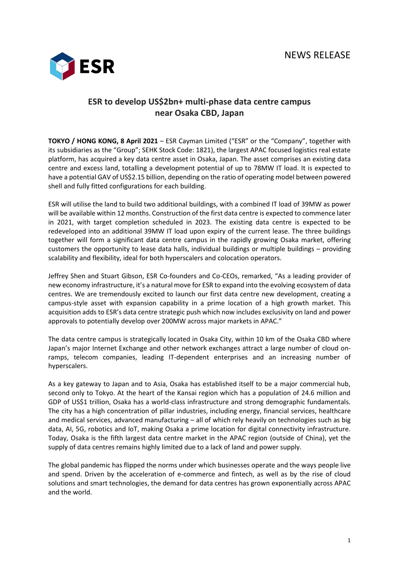

## **ESR to develop US\$2bn+ multi-phase data centre campus near Osaka CBD, Japan**

**TOKYO / HONG KONG, 8 April 2021** – ESR Cayman Limited ("ESR" or the "Company", together with its subsidiaries as the "Group"; SEHK Stock Code: 1821), the largest APAC focused logistics real estate platform, has acquired a key data centre asset in Osaka, Japan. The asset comprises an existing data centre and excess land, totalling a development potential of up to 78MW IT load. It is expected to have a potential GAV of US\$2.15 billion, depending on the ratio of operating model between powered shell and fully fitted configurations for each building.

ESR will utilise the land to build two additional buildings, with a combined IT load of 39MW as power will be available within 12 months. Construction of the first data centre is expected to commence later in 2021, with target completion scheduled in 2023. The existing data centre is expected to be redeveloped into an additional 39MW IT load upon expiry of the current lease. The three buildings together will form a significant data centre campus in the rapidly growing Osaka market, offering customers the opportunity to lease data halls, individual buildings or multiple buildings – providing scalability and flexibility, ideal for both hyperscalers and colocation operators.

Jeffrey Shen and Stuart Gibson, ESR Co-founders and Co-CEOs, remarked, "As a leading provider of new economy infrastructure, it's a natural move for ESR to expand into the evolving ecosystem of data centres. We are tremendously excited to launch our first data centre new development, creating a campus-style asset with expansion capability in a prime location of a high growth market. This acquisition adds to ESR's data centre strategic push which now includes exclusivity on land and power approvals to potentially develop over 200MW across major markets in APAC."

The data centre campus is strategically located in Osaka City, within 10 km of the Osaka CBD where Japan's major Internet Exchange and other network exchanges attract a large number of cloud onramps, telecom companies, leading IT-dependent enterprises and an increasing number of hyperscalers.

As a key gateway to Japan and to Asia, Osaka has established itself to be a major commercial hub, second only to Tokyo. At the heart of the Kansai region which has a population of 24.6 million and GDP of US\$1 trillion, Osaka has a world-class infrastructure and strong demographic fundamentals. The city has a high concentration of pillar industries, including energy, financial services, healthcare and medical services, advanced manufacturing – all of which rely heavily on technologies such as big data, AI, 5G, robotics and IoT, making Osaka a prime location for digital connectivity infrastructure. Today, Osaka is the fifth largest data centre market in the APAC region (outside of China), yet the supply of data centres remains highly limited due to a lack of land and power supply.

The global pandemic has flipped the norms under which businesses operate and the ways people live and spend. Driven by the acceleration of e-commerce and fintech, as well as by the rise of cloud solutions and smart technologies, the demand for data centres has grown exponentially across APAC and the world.